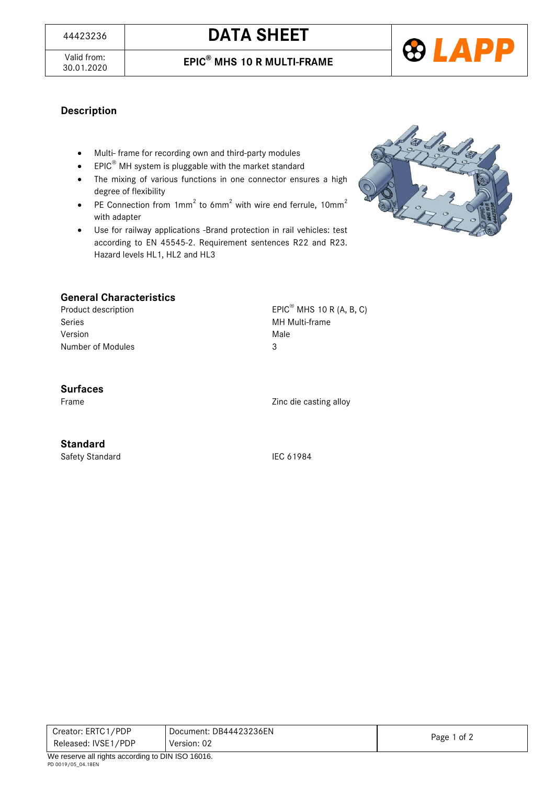# <sup>44423236</sup> **DATA SHEET**





### **Description**

- Multi- frame for recording own and third-party modules
- **•** EPIC<sup>®</sup> MH system is pluggable with the market standard
- The mixing of various functions in one connector ensures a high degree of flexibility
- PE Connection from  $1mm^2$  to 6mm<sup>2</sup> with wire end ferrule,  $10mm^2$ with adapter
- Use for railway applications -Brand protection in rail vehicles: test according to EN 45545-2. Requirement sentences R22 and R23. Hazard levels HL1, HL2 and HL3



### **General Characteristics**

Product description EPIC<sup>®</sup> MHS 10 R (A, B, C) Series **MH Multi-frame** Version Male Number of Modules 3

#### **Surfaces**

Frame Zinc die casting alloy

#### **Standard**

Safety Standard IEC 61984

| Creator: ERTC1/PDP  | Document: DB44423236EN | Page 1 of 2 |
|---------------------|------------------------|-------------|
| Released: IVSE1/PDP | Version: 02            |             |